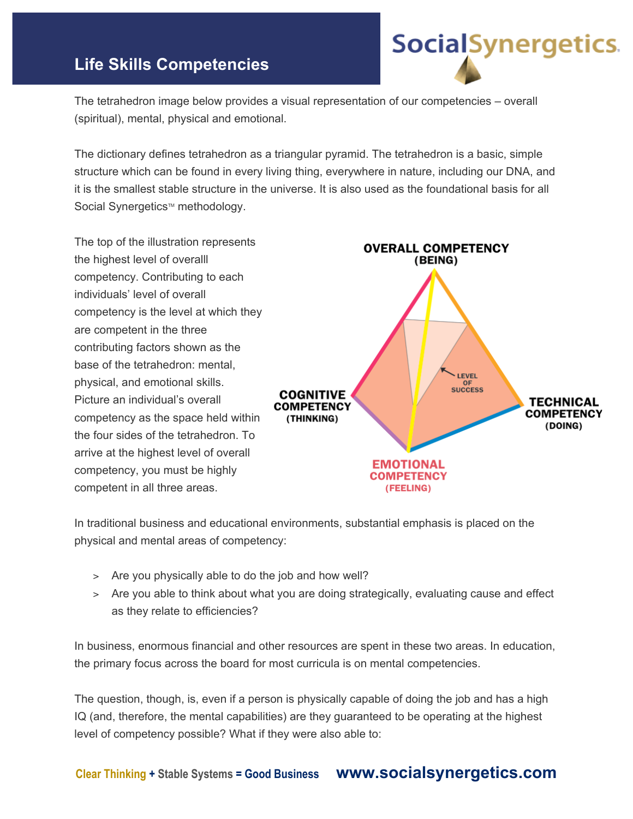## **Life Skills Competencies**

The tetrahedron image below provides a visual representation of our competencies – overall (spiritual), mental, physical and emotional.

The dictionary defines tetrahedron as a triangular pyramid. The tetrahedron is a basic, simple structure which can be found in every living thing, everywhere in nature, including our DNA, and it is the smallest stable structure in the universe. It is also used as the foundational basis for all Social Synergetics™ methodology.

The top of the illustration represents the highest level of overalll competency. Contributing to each individuals' level of overall competency is the level at which they are competent in the three contributing factors shown as the base of the tetrahedron: mental, physical, and emotional skills. Picture an individual's overall competency as the space held within the four sides of the tetrahedron. To arrive at the highest level of overall competency, you must be highly competent in all three areas.



**Social**Synergetics.

In traditional business and educational environments, substantial emphasis is placed on the physical and mental areas of competency:

- > Are you physically able to do the job and how well?
- > Are you able to think about what you are doing strategically, evaluating cause and effect as they relate to efficiencies?

In business, enormous financial and other resources are spent in these two areas. In education, the primary focus across the board for most curricula is on mental competencies.

The question, though, is, even if a person is physically capable of doing the job and has a high IQ (and, therefore, the mental capabilities) are they guaranteed to be operating at the highest level of competency possible? What if they were also able to: